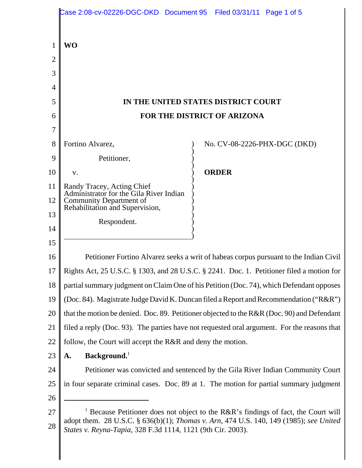|          | Case 2:08-cv-02226-DGC-DKD Document 95    Filed 03/31/11    Page 1 of 5                                                                                                                                                                                |                              |
|----------|--------------------------------------------------------------------------------------------------------------------------------------------------------------------------------------------------------------------------------------------------------|------------------------------|
|          |                                                                                                                                                                                                                                                        |                              |
|          | <b>WO</b>                                                                                                                                                                                                                                              |                              |
| 2        |                                                                                                                                                                                                                                                        |                              |
| 3        |                                                                                                                                                                                                                                                        |                              |
| 4        |                                                                                                                                                                                                                                                        |                              |
| 5        | IN THE UNITED STATES DISTRICT COURT                                                                                                                                                                                                                    |                              |
| 6        | FOR THE DISTRICT OF ARIZONA                                                                                                                                                                                                                            |                              |
|          |                                                                                                                                                                                                                                                        |                              |
| 8        | Fortino Alvarez,                                                                                                                                                                                                                                       | No. CV-08-2226-PHX-DGC (DKD) |
| 9        | Petitioner,                                                                                                                                                                                                                                            |                              |
| 10       | V.                                                                                                                                                                                                                                                     | <b>ORDER</b>                 |
| 11       | Randy Tracey, Acting Chief<br>Administrator for the Gila River Indian                                                                                                                                                                                  |                              |
| 12       | Community Department of<br>Rehabilitation and Supervision,                                                                                                                                                                                             |                              |
| 13       | Respondent.                                                                                                                                                                                                                                            |                              |
| 14       |                                                                                                                                                                                                                                                        |                              |
| 15       |                                                                                                                                                                                                                                                        |                              |
| 16       | Petitioner Fortino Alvarez seeks a writ of habeas corpus pursuant to the Indian Civil                                                                                                                                                                  |                              |
| 17       | Rights Act, 25 U.S.C. § 1303, and 28 U.S.C. § 2241. Doc. 1. Petitioner filed a motion for                                                                                                                                                              |                              |
| 18       | partial summary judgment on Claim One of his Petition (Doc. 74), which Defendant opposes                                                                                                                                                               |                              |
| 19       | (Doc. 84). Magistrate Judge David K. Duncan filed a Report and Recommendation ("R&R")                                                                                                                                                                  |                              |
| 20       | that the motion be denied. Doc. 89. Petitioner objected to the R&R (Doc. 90) and Defendant                                                                                                                                                             |                              |
| 21       | filed a reply (Doc. 93). The parties have not requested oral argument. For the reasons that                                                                                                                                                            |                              |
| 22       | follow, the Court will accept the R&R and deny the motion.                                                                                                                                                                                             |                              |
| 23       | Background.<br>A.                                                                                                                                                                                                                                      |                              |
| 24       | Petitioner was convicted and sentenced by the Gila River Indian Community Court                                                                                                                                                                        |                              |
| 25       | in four separate criminal cases. Doc. 89 at 1. The motion for partial summary judgment                                                                                                                                                                 |                              |
| 26       |                                                                                                                                                                                                                                                        |                              |
| 27<br>28 | <sup>1</sup> Because Petitioner does not object to the R&R's findings of fact, the Court will<br>adopt them. 28 U.S.C. § 636(b)(1); Thomas v. Arn, 474 U.S. 140, 149 (1985); see United<br>States v. Reyna-Tapia, 328 F.3d 1114, 1121 (9th Cir. 2003). |                              |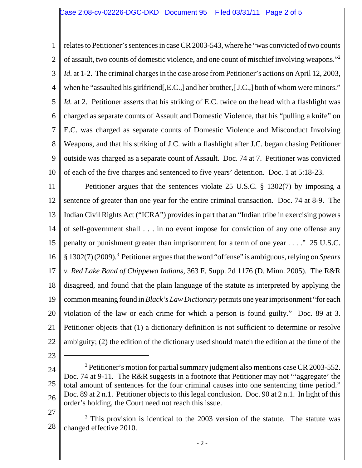1 2 3 4 5 6 7 8 9 10 relates to Petitioner's sentences in case CR 2003-543, where he "was convicted of two counts of assault, two counts of domestic violence, and one count of mischief involving weapons."2 *Id.* at 1-2. The criminal charges in the case arose from Petitioner's actions on April 12, 2003, when he "assaulted his girlfriend. E.C., and her brother, [J.C.,] both of whom were minors." *Id.* at 2. Petitioner asserts that his striking of E.C. twice on the head with a flashlight was charged as separate counts of Assault and Domestic Violence, that his "pulling a knife" on E.C. was charged as separate counts of Domestic Violence and Misconduct Involving Weapons, and that his striking of J.C. with a flashlight after J.C. began chasing Petitioner outside was charged as a separate count of Assault. Doc. 74 at 7. Petitioner was convicted of each of the five charges and sentenced to five years' detention. Doc. 1 at 5:18-23.

11 12 13 14 15 16 17 18 19 20 21 22 Petitioner argues that the sentences violate 25 U.S.C. § 1302(7) by imposing a sentence of greater than one year for the entire criminal transaction. Doc. 74 at 8-9. The Indian Civil Rights Act ("ICRA") provides in part that an "Indian tribe in exercising powers of self-government shall . . . in no event impose for conviction of any one offense any penalty or punishment greater than imprisonment for a term of one year . . . ." 25 U.S.C. § 1302(7) (2009).3 Petitioner argues that the word "offense" is ambiguous, relying on *Spears v. Red Lake Band of Chippewa Indians*, 363 F. Supp. 2d 1176 (D. Minn. 2005). The R&R disagreed, and found that the plain language of the statute as interpreted by applying the common meaning found in *Black's Law Dictionary* permits one year imprisonment "for each violation of the law or each crime for which a person is found guilty." Doc. 89 at 3. Petitioner objects that (1) a dictionary definition is not sufficient to determine or resolve ambiguity; (2) the edition of the dictionary used should match the edition at the time of the

23

<sup>24</sup> 25 26 <sup>2</sup> Petitioner's motion for partial summary judgment also mentions case CR 2003-552. Doc. 74 at 9-11. The R&R suggests in a footnote that Petitioner may not "aggregate' the total amount of sentences for the four criminal causes into one sentencing time period." Doc. 89 at 2 n.1. Petitioner objects to this legal conclusion. Doc. 90 at 2 n.1. In light of this order's holding, the Court need not reach this issue.

<sup>27</sup>

<sup>28</sup> <sup>3</sup> This provision is identical to the 2003 version of the statute. The statute was changed effective 2010.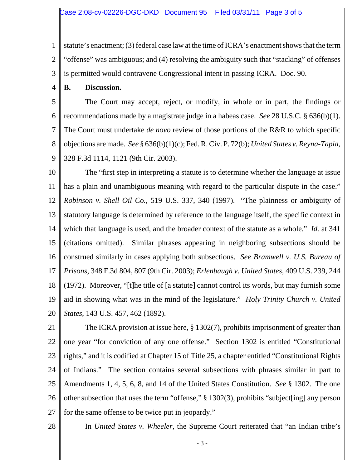1 2 3 statute's enactment; (3) federal case law at the time of ICRA's enactment shows that the term "offense" was ambiguous; and (4) resolving the ambiguity such that "stacking" of offenses is permitted would contravene Congressional intent in passing ICRA. Doc. 90.

4 **B. Discussion.**

5 6 7 8 9 The Court may accept, reject, or modify, in whole or in part, the findings or recommendations made by a magistrate judge in a habeas case. *See* 28 U.S.C. § 636(b)(1). The Court must undertake *de novo* review of those portions of the R&R to which specific objections are made. *See* § 636(b)(1)(c); Fed. R. Civ. P. 72(b); *United States v. Reyna-Tapia*, 328 F.3d 1114, 1121 (9th Cir. 2003).

10 11 12 13 14 15 16 17 18 19 20 The "first step in interpreting a statute is to determine whether the language at issue has a plain and unambiguous meaning with regard to the particular dispute in the case." *Robinson v. Shell Oil Co.*, 519 U.S. 337, 340 (1997). "The plainness or ambiguity of statutory language is determined by reference to the language itself, the specific context in which that language is used, and the broader context of the statute as a whole." *Id.* at 341 (citations omitted). Similar phrases appearing in neighboring subsections should be construed similarly in cases applying both subsections. *See Bramwell v. U.S. Bureau of Prisons*, 348 F.3d 804, 807 (9th Cir. 2003); *Erlenbaugh v. United States*, 409 U.S. 239, 244 (1972). Moreover, "[t]he title of [a statute] cannot control its words, but may furnish some aid in showing what was in the mind of the legislature." *Holy Trinity Church v. United States*, 143 U.S. 457, 462 (1892).

21 22 23 24 25 26 27 The ICRA provision at issue here, § 1302(7), prohibits imprisonment of greater than one year "for conviction of any one offense." Section 1302 is entitled "Constitutional rights," and it is codified at Chapter 15 of Title 25, a chapter entitled "Constitutional Rights of Indians." The section contains several subsections with phrases similar in part to Amendments 1, 4, 5, 6, 8, and 14 of the United States Constitution. *See* § 1302. The one other subsection that uses the term "offense," § 1302(3), prohibits "subject[ing] any person for the same offense to be twice put in jeopardy."

28

In *United States v. Wheeler*, the Supreme Court reiterated that "an Indian tribe's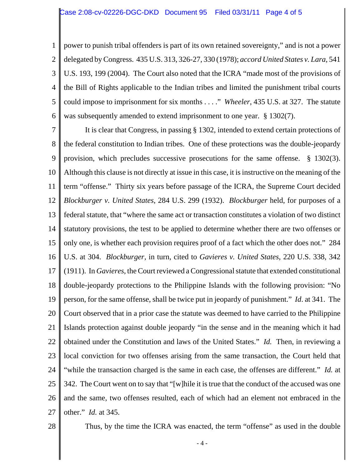1 2 3 4 5 6 power to punish tribal offenders is part of its own retained sovereignty," and is not a power delegated by Congress. 435 U.S. 313, 326-27, 330 (1978); *accord United States v. Lara*, 541 U.S. 193, 199 (2004). The Court also noted that the ICRA "made most of the provisions of the Bill of Rights applicable to the Indian tribes and limited the punishment tribal courts could impose to imprisonment for six months . . . ." *Wheeler*, 435 U.S. at 327. The statute was subsequently amended to extend imprisonment to one year. § 1302(7).

7 8 9 10 11 12 13 14 15 16 17 18 19 20 21 22 23 24 25 26 27 It is clear that Congress, in passing § 1302, intended to extend certain protections of the federal constitution to Indian tribes. One of these protections was the double-jeopardy provision, which precludes successive prosecutions for the same offense. § 1302(3). Although this clause is not directly at issue in this case, it is instructive on the meaning of the term "offense." Thirty six years before passage of the ICRA, the Supreme Court decided *Blockburger v. United States*, 284 U.S. 299 (1932). *Blockburger* held, for purposes of a federal statute, that "where the same act or transaction constitutes a violation of two distinct statutory provisions, the test to be applied to determine whether there are two offenses or only one, is whether each provision requires proof of a fact which the other does not." 284 U.S. at 304. *Blockburger*, in turn, cited to *Gavieres v. United States*, 220 U.S. 338, 342 (1911). In *Gavieres*, the Court reviewed a Congressional statute that extended constitutional double-jeopardy protections to the Philippine Islands with the following provision: "No person, for the same offense, shall be twice put in jeopardy of punishment." *Id*. at 341. The Court observed that in a prior case the statute was deemed to have carried to the Philippine Islands protection against double jeopardy "in the sense and in the meaning which it had obtained under the Constitution and laws of the United States." *Id.* Then, in reviewing a local conviction for two offenses arising from the same transaction, the Court held that "while the transaction charged is the same in each case, the offenses are different." *Id.* at 342. The Court went on to say that "[w]hile it is true that the conduct of the accused was one and the same, two offenses resulted, each of which had an element not embraced in the other." *Id.* at 345.

28

Thus, by the time the ICRA was enacted, the term "offense" as used in the double